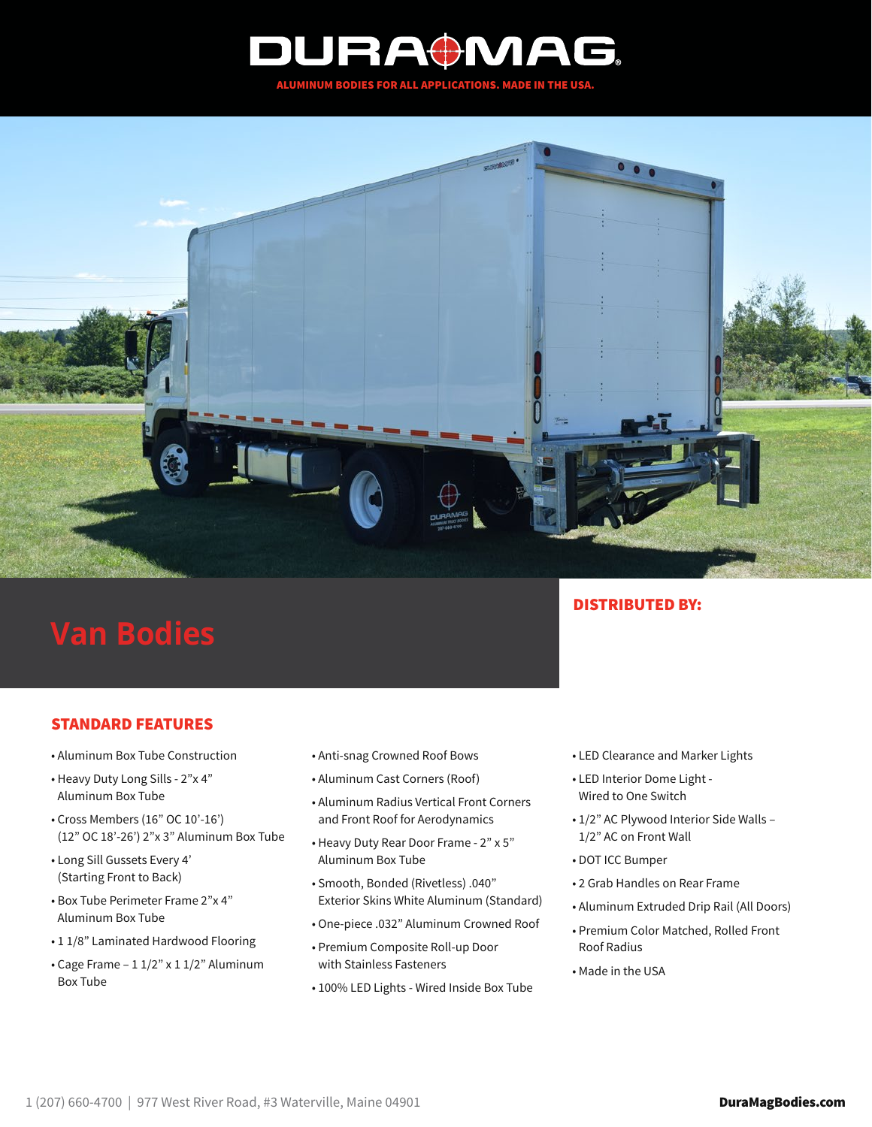

## **Van Bodies**

## STANDARD FEATURES

- Aluminum Box Tube Construction
- Heavy Duty Long Sills 2"x 4" Aluminum Box Tube
- Cross Members (16" OC 10'-16') (12" OC 18'-26') 2"x 3" Aluminum Box Tube
- Long Sill Gussets Every 4' (Starting Front to Back)
- Box Tube Perimeter Frame 2"x 4" Aluminum Box Tube
- 1 1/8" Laminated Hardwood Flooring
- Cage Frame 1 1/2" x 1 1/2" Aluminum Box Tube
- Anti-snag Crowned Roof Bows
- Aluminum Cast Corners (Roof)
- Aluminum Radius Vertical Front Corners and Front Roof for Aerodynamics
- Heavy Duty Rear Door Frame 2" x 5" Aluminum Box Tube
- Smooth, Bonded (Rivetless) .040" Exterior Skins White Aluminum (Standard)
- One-piece .032" Aluminum Crowned Roof
- Premium Composite Roll-up Door with Stainless Fasteners
- 100% LED Lights Wired Inside Box Tube

## DISTRIBUTED BY:

- LED Clearance and Marker Lights
- LED Interior Dome Light Wired to One Switch
- 1/2" AC Plywood Interior Side Walls 1/2" AC on Front Wall
- DOT ICC Bumper
- 2 Grab Handles on Rear Frame
- Aluminum Extruded Drip Rail (All Doors)
- Premium Color Matched, Rolled Front Roof Radius
- Made in the USA